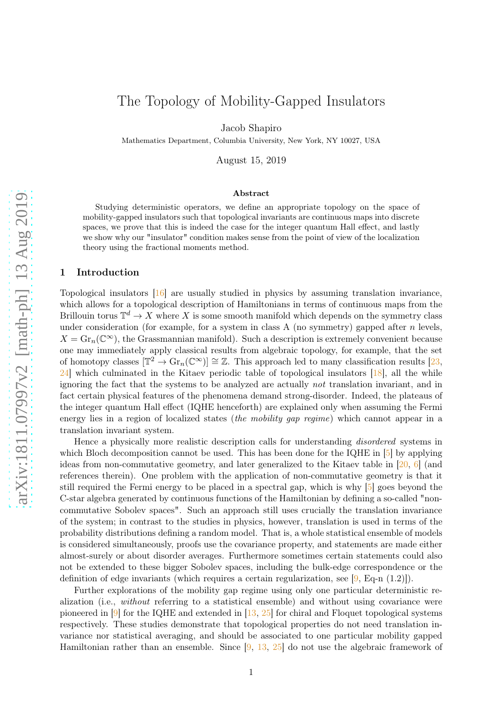# The Topology of Mobility-Gapped Insulators

Jacob Shapiro

Mathematics Department, Columbia University, New York, NY 10027, USA

August 15, 2019

#### Abstract

Studying deterministic operators, we define an appropriate topology on the space of mobility-gapped insulators such that topological invariants are continuous maps into discrete spaces, we prove that this is indeed the case for the integer quantum Hall effect, and lastly we show why our "insulator" condition makes sense from the point of view of the localization theory using the fractional moments method.

# 1 Introduction

Topological insulators [\[16\]](#page-12-0) are usually studied in physics by assuming translation invariance, which allows for a topological description of Hamiltonians in terms of continuous maps from the Brillouin torus  $\mathbb{T}^d \to X$  where X is some smooth manifold which depends on the symmetry class under consideration (for example, for a system in class  $A$  (no symmetry) gapped after  $n$  levels,  $X = \mathrm{Gr}_n(\mathbb{C}^\infty)$ , the Grassmannian manifold). Such a description is extremely convenient because one may immediately apply classical results from algebraic topology, for example, that the set of homotopy classes  $[\mathbb{T}^2 \to \text{Gr}_n(\mathbb{C}^\infty)] \cong \mathbb{Z}$ . This approach led to many classification results [\[23](#page-13-0), [24\]](#page-13-1) which culminated in the Kitaev periodic table of topological insulators [\[18](#page-13-2)], all the while ignoring the fact that the systems to be analyzed are actually *not* translation invariant, and in fact certain physical features of the phenomena demand strong-disorder. Indeed, the plateaus of the integer quantum Hall effect (IQHE henceforth) are explained only when assuming the Fermi energy lies in a region of localized states (*the mobility gap regime*) which cannot appear in a translation invariant system.

Hence a physically more realistic description calls for understanding *disordered* systems in which Bloch decomposition cannot be used. This has been done for the IQHE in [\[5\]](#page-12-1) by applying ideas from non-commutative geometry, and later generalized to the Kitaev table in [\[20,](#page-13-3) [6\]](#page-12-2) (and references therein). One problem with the application of non-commutative geometry is that it still required the Fermi energy to be placed in a spectral gap, which is why [\[5](#page-12-1)] goes beyond the C-star algebra generated by continuous functions of the Hamiltonian by defining a so-called "noncommutative Sobolev spaces". Such an approach still uses crucially the translation invariance of the system; in contrast to the studies in physics, however, translation is used in terms of the probability distributions defining a random model. That is, a whole statistical ensemble of models is considered simultaneously, proofs use the covariance property, and statements are made either almost-surely or about disorder averages. Furthermore sometimes certain statements could also not be extended to these bigger Sobolev spaces, including the bulk-edge correspondence or the definition of edge invariants (which requires a certain regularization, see  $[9, Eq-n (1.2)]$ ).

Further explorations of the mobility gap regime using only one particular deterministic realization (i.e., *without* referring to a statistical ensemble) and without using covariance were pioneered in [\[9\]](#page-12-3) for the IQHE and extended in [\[13,](#page-12-4) [25](#page-13-4)] for chiral and Floquet topological systems respectively. These studies demonstrate that topological properties do not need translation invariance nor statistical averaging, and should be associated to one particular mobility gapped Hamiltonian rather than an ensemble. Since [\[9,](#page-12-3) [13,](#page-12-4) [25](#page-13-4)] do not use the algebraic framework of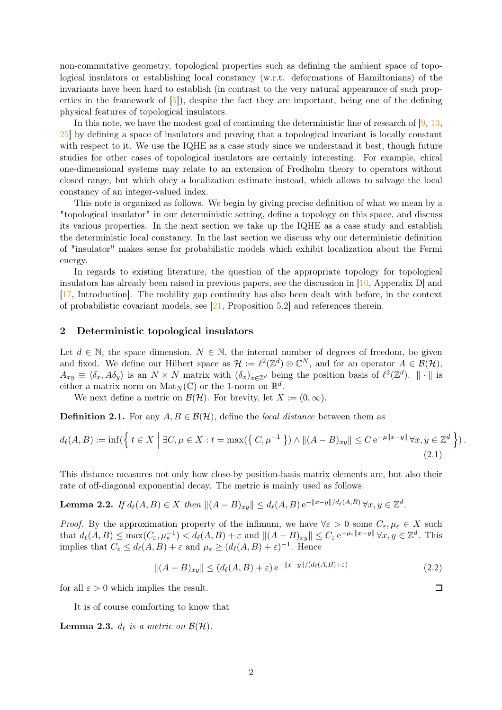non-commutative geometry, topological properties such as defining the ambient space of topological insulators or establishing local constancy (w.r.t. deformations of Hamiltonians) of the invariants have been hard to establish (in contrast to the very natural appearance of such properties in the framework of  $[5]$ , despite the fact they are important, being one of the defining physical features of topological insulators.

In this note, we have the modest goal of continuing the deterministic line of research of  $[9, 13,$  $[9, 13,$  $[9, 13,$ [25\]](#page-13-4) by defining a space of insulators and proving that a topological invariant is locally constant with respect to it. We use the IQHE as a case study since we understand it best, though future studies for other cases of topological insulators are certainly interesting. For example, chiral one-dimensional systems may relate to an extension of Fredholm theory to operators without closed range, but which obey a localization estimate instead, which allows to salvage the local constancy of an integer-valued index.

This note is organized as follows. We begin by giving precise definition of what we mean by a "topological insulator" in our deterministic setting, define a topology on this space, and discuss its various properties. In the next section we take up the IQHE as a case study and establish the deterministic local constancy. In the last section we discuss why our deterministic definition of "insulator" makes sense for probabilistic models which exhibit localization about the Fermi energy.

In regards to existing literature, the question of the appropriate topology for topological insulators has already been raised in previous papers, see the discussion in [\[10,](#page-12-5) Appendix D] and [\[17,](#page-12-6) Introduction]. The mobility gap continuity has also been dealt with before, in the context of probabilistic covariant models, see [\[21](#page-13-5), Proposition 5.2] and references therein.

# 2 Deterministic topological insulators

Let  $d \in \mathbb{N}$ , the space dimension,  $N \in \mathbb{N}$ , the internal number of degrees of freedom, be given and fixed. We define our Hilbert space as  $\mathcal{H} := \ell^2(\mathbb{Z}^d) \otimes \mathbb{C}^N$ , and for an operator  $A \in \mathcal{B}(\mathcal{H})$ ,  $A_{xy} \equiv \langle \delta_x, A\delta_y \rangle$  is an  $N \times N$  matrix with  $(\delta_x)_{x \in \mathbb{Z}^d}$  being the position basis of  $\ell^2(\mathbb{Z}^d)$ .  $\|\cdot\|$  is either a matrix norm on  $\text{Mat}_N(\mathbb{C})$  or the 1-norm on  $\mathbb{R}^d$ .

We next define a metric on  $\mathcal{B}(\mathcal{H})$ . For brevity, let  $X := (0, \infty)$ .

**Definition 2.1.** For any  $A, B \in \mathcal{B}(\mathcal{H})$ , define the *local distance* between them as

$$
d_{\ell}(A, B) := \inf \left( \left\{ t \in X \; \Big| \; \exists C, \mu \in X : t = \max(\left\{ C, \mu^{-1} \right\} \right) \wedge \left\| (A - B)_{xy} \right\| \le C \, \mathrm{e}^{-\mu \|x - y\|} \, \forall x, y \in \mathbb{Z}^d \right\} \right). \tag{2.1}
$$

<span id="page-1-1"></span>This distance measures not only how close-by position-basis matrix elements are, but also their rate of off-diagonal exponential decay. The metric is mainly used as follows:

Lemma 2.2. *If*  $d_{\ell}(A, B) \in X$  then  $||(A - B)_{xy}|| \leq d_{\ell}(A, B) e^{-||x - y||/d_{\ell}(A, B)} \forall x, y \in \mathbb{Z}^{d}$ .

*Proof.* By the approximation property of the infimum, we have  $\forall \varepsilon > 0$  some  $C_{\varepsilon}, \mu_{\varepsilon} \in X$  such that  $d_{\ell}(A, B) \le \max(C_{\varepsilon}, \mu_{\varepsilon}^{-1}) < d_{\ell}(A, B) + \varepsilon$  and  $\|(A - B)_{xy}\| \le C_{\varepsilon} e^{-\mu_{\varepsilon}||x - y||} \forall x, y \in \mathbb{Z}^{d}$ . This implies that  $C_{\varepsilon} \le d_{\ell}(A, B) + \varepsilon$  and  $\mu_{\varepsilon} \ge (d_{\ell}(A, B) + \varepsilon)^{-1}$ . Hence

$$
||(A - B)_{xy}|| \le (d_{\ell}(A, B) + \varepsilon) e^{-||x - y||/(d_{\ell}(A, B) + \varepsilon)}
$$
\n(2.2)

<span id="page-1-0"></span> $\Box$ 

for all  $\varepsilon > 0$  which implies the result.

It is of course comforting to know that

**Lemma 2.3.**  $d_{\ell}$  is a metric on  $\mathcal{B}(\mathcal{H})$ .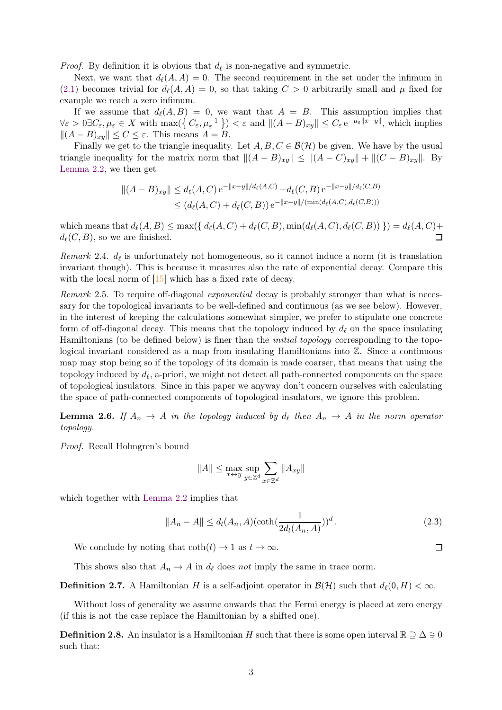*Proof.* By definition it is obvious that  $d_{\ell}$  is non-negative and symmetric.

Next, we want that  $d_{\ell}(A, A) = 0$ . The second requirement in the set under the infimum in [\(2.1\)](#page-1-0) becomes trivial for  $d_{\ell}(A, A) = 0$ , so that taking  $C > 0$  arbitrarily small and  $\mu$  fixed for example we reach a zero infimum.

If we assume that  $d_{\ell}(A, B) = 0$ , we want that  $A = B$ . This assumption implies that  $\forall \varepsilon > 0 \exists C_{\varepsilon}, \mu_{\varepsilon} \in X \text{ with } \max(\{C_{\varepsilon}, \mu_{\varepsilon}^{-1}\}) < \varepsilon \text{ and } \|(A - B)_{xy}\| \le C_{\varepsilon} e^{-\mu_{\varepsilon} \|x - y\|}, \text{ which implies}$  $||(A - B)_{xy}|| \le C \le \varepsilon$ . This means  $A = B$ .

Finally we get to the triangle inequality. Let  $A, B, C \in \mathcal{B}(\mathcal{H})$  be given. We have by the usual triangle inequality for the matrix norm that  $||(A - B)_{xy}|| \leq ||(A - C)_{xy}|| + ||(C - B)_{xy}||$ . By [Lemma 2.2,](#page-1-1) we then get

$$
||(A - B)_{xy}|| \le d_{\ell}(A, C) e^{-||x - y||/d_{\ell}(A, C)} + d_{\ell}(C, B) e^{-||x - y||/d_{\ell}(C, B)}
$$
  

$$
\le (d_{\ell}(A, C) + d_{\ell}(C, B)) e^{-||x - y||/(\min(d_{\ell}(A, C), d_{\ell}(C, B)))}
$$

which means that  $d_{\ell}(A, B) \leq \max(\{ d_{\ell}(A, C) + d_{\ell}(C, B), \min(d_{\ell}(A, C), d_{\ell}(C, B)) \}) = d_{\ell}(A, C) +$  $d_{\ell}(C, B)$ , so we are finished.

*Remark* 2.4*.*  $d_{\ell}$  is unfortunately not homogeneous, so it cannot induce a norm (it is translation invariant though). This is because it measures also the rate of exponential decay. Compare this with the local norm of  $\left[15\right]$  which has a fixed rate of decay.

<span id="page-2-1"></span>*Remark* 2.5*.* To require off-diagonal *exponential* decay is probably stronger than what is necessary for the topological invariants to be well-defined and continuous (as we see below). However, in the interest of keeping the calculations somewhat simpler, we prefer to stipulate one concrete form of off-diagonal decay. This means that the topology induced by  $d_\ell$  on the space insulating Hamiltonians (to be defined below) is finer than the *initial topology* corresponding to the topological invariant considered as a map from insulating Hamiltonians into Z. Since a continuous map may stop being so if the topology of its domain is made coarser, that means that using the topology induced by  $d_{\ell}$ , a-priori, we might not detect all path-connected components on the space of topological insulators. Since in this paper we anyway don't concern ourselves with calculating the space of path-connected components of topological insulators, we ignore this problem.

**Lemma 2.6.** If  $A_n \to A$  *in the topology induced by*  $d_\ell$  *then*  $A_n \to A$  *in the norm operator topology.*

*Proof.* Recall Holmgren's bound

$$
||A|| \le \max_{x \leftrightarrow y} \sup_{y \in \mathbb{Z}^d} \sum_{x \in \mathbb{Z}^d} ||A_{xy}||
$$

which together with [Lemma 2.2](#page-1-1) implies that

$$
||A_n - A|| \le d_l(A_n, A)(\coth(\frac{1}{2d_l(A_n, A)}))^d.
$$
 (2.3)

We conclude by noting that  $\coth(t) \rightarrow 1$  as  $t \rightarrow \infty$ .

This shows also that  $A_n \to A$  in  $d_\ell$  does *not* imply the same in trace norm.

**Definition 2.7.** A Hamiltonian H is a self-adjoint operator in  $\mathcal{B}(\mathcal{H})$  such that  $d_{\ell}(0, H) < \infty$ .

<span id="page-2-0"></span>Without loss of generality we assume onwards that the Fermi energy is placed at zero energy (if this is not the case replace the Hamiltonian by a shifted one).

**Definition 2.8.** An insulator is a Hamiltonian H such that there is some open interval  $\mathbb{R} \supseteq \Delta \ni 0$ such that:

<span id="page-2-2"></span> $\Box$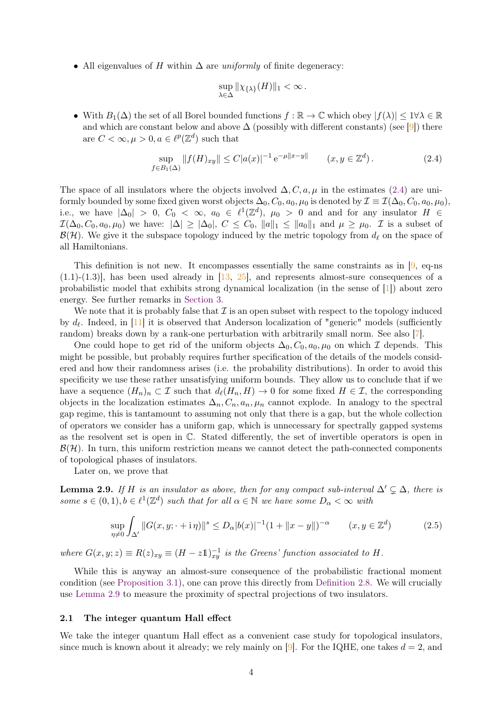• All eigenvalues of H within  $\Delta$  are *uniformly* of finite degeneracy:

<span id="page-3-0"></span>
$$
\sup_{\lambda \in \Delta} \|\chi_{\{\lambda\}}(H)\|_1 < \infty.
$$

• With  $B_1(\Delta)$  the set of all Borel bounded functions  $f : \mathbb{R} \to \mathbb{C}$  which obey  $|f(\lambda)| \leq 1 \forall \lambda \in \mathbb{R}$ and which are constant below and above  $\Delta$  (possibly with different constants) (see [\[9](#page-12-3)]) there are  $C < \infty, \mu > 0, a \in \ell^p(\mathbb{Z}^d)$  such that

$$
\sup_{f \in B_1(\Delta)} ||f(H)_{xy}|| \le C|a(x)|^{-1} e^{-\mu ||x-y||} \qquad (x, y \in \mathbb{Z}^d). \tag{2.4}
$$

The space of all insulators where the objects involved  $\Delta$ , C, a,  $\mu$  in the estimates [\(2.4\)](#page-3-0) are uniformly bounded by some fixed given worst objects  $\Delta_0$ ,  $C_0$ ,  $a_0$ ,  $\mu_0$  is denoted by  $\mathcal{I} \equiv \mathcal{I}(\Delta_0, C_0, a_0, \mu_0)$ , i.e., we have  $|\Delta_0| > 0$ ,  $C_0 < \infty$ ,  $a_0 \in \ell^1(\mathbb{Z}^d)$ ,  $\mu_0 > 0$  and and for any insulator  $H \in$  $\mathcal{I}(\Delta_0, C_0, a_0, \mu_0)$  we have:  $|\Delta| \geq |\Delta_0|$ ,  $C \leq C_0$ ,  $||a||_1 \leq ||a_0||_1$  and  $\mu \geq \mu_0$ . *I* is a subset of  $\mathcal{B}(\mathcal{H})$ . We give it the subspace topology induced by the metric topology from  $d_{\ell}$  on the space of all Hamiltonians.

This definition is not new. It encompasses essentially the same constraints as in [\[9](#page-12-3), eq-ns  $(1.1)-(1.3)$ , has been used already in  $[13, 25]$  $[13, 25]$ , and represents almost-sure consequences of a probabilistic model that exhibits strong dynamical localization (in the sense of [\[1](#page-12-8)]) about zero energy. See further remarks in [Section 3.](#page-8-0)

We note that it is probably false that  $\mathcal I$  is an open subset with respect to the topology induced by  $d_{\ell}$ . Indeed, in [\[11\]](#page-12-9) it is observed that Anderson localization of "generic" models (sufficiently random) breaks down by a rank-one perturbation with arbitrarily small norm. See also [\[7](#page-12-10)].

One could hope to get rid of the uniform objects  $\Delta_0$ ,  $C_0$ ,  $a_0$ ,  $\mu_0$  on which  $\mathcal I$  depends. This might be possible, but probably requires further specification of the details of the models considered and how their randomness arises (i.e. the probability distributions). In order to avoid this specificity we use these rather unsatisfying uniform bounds. They allow us to conclude that if we have a sequence  $(H_n)_n \subset \mathcal{I}$  such that  $d_\ell(H_n, H) \to 0$  for some fixed  $H \in \mathcal{I}$ , the corresponding objects in the localization estimates  $\Delta_n, C_n, a_n, \mu_n$  cannot explode. In analogy to the spectral gap regime, this is tantamount to assuming not only that there is a gap, but the whole collection of operators we consider has a uniform gap, which is unnecessary for spectrally gapped systems as the resolvent set is open in C. Stated differently, the set of invertible operators is open in  $\mathcal{B}(\mathcal{H})$ . In turn, this uniform restriction means we cannot detect the path-connected components of topological phases of insulators.

<span id="page-3-1"></span>Later on, we prove that

**Lemma 2.9.** *If* H *is an insulator as above, then for any compact sub-interval*  $\Delta' \subseteq \Delta$ *, there is* some  $s \in (0,1)$ ,  $b \in \ell^1(\mathbb{Z}^d)$  such that for all  $\alpha \in \mathbb{N}$  we have some  $D_{\alpha} < \infty$  with

<span id="page-3-2"></span>
$$
\sup_{\eta \neq 0} \int_{\Delta'} ||G(x, y; \cdot + i\eta)||^s \le D_\alpha |b(x)|^{-1} (1 + ||x - y||)^{-\alpha} \qquad (x, y \in \mathbb{Z}^d)
$$
 (2.5)

where  $G(x, y; z) \equiv R(z)_{xy} \equiv (H - z\mathbb{1})_{xy}^{-1}$  *is the Greens' function associated to* H.

While this is anyway an almost-sure consequence of the probabilistic fractional moment condition (see [Proposition 3.1\)](#page-10-0), one can prove this directly from [Definition 2.8.](#page-2-0) We will crucially use [Lemma 2.9](#page-3-1) to measure the proximity of spectral projections of two insulators.

#### 2.1 The integer quantum Hall effect

We take the integer quantum Hall effect as a convenient case study for topological insulators, since much is known about it already; we rely mainly on [\[9](#page-12-3)]. For the IQHE, one takes  $d = 2$ , and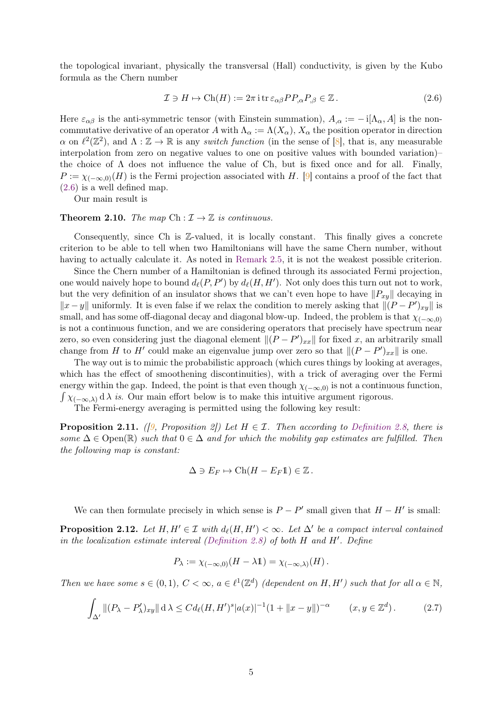the topological invariant, physically the transversal (Hall) conductivity, is given by the Kubo formula as the Chern number

<span id="page-4-0"></span>
$$
\mathcal{I} \ni H \mapsto \text{Ch}(H) := 2\pi \operatorname{itr} \varepsilon_{\alpha\beta} P P_{,\alpha} P_{,\beta} \in \mathbb{Z} \,. \tag{2.6}
$$

Here  $\varepsilon_{\alpha\beta}$  is the anti-symmetric tensor (with Einstein summation),  $A_{,\alpha} := -i[\Lambda_{\alpha}, A]$  is the noncommutative derivative of an operator A with  $\Lambda_{\alpha} := \Lambda(X_{\alpha}), X_{\alpha}$  the position operator in direction  $\alpha$  on  $\ell^2(\mathbb{Z}^2)$ , and  $\Lambda : \mathbb{Z} \to \mathbb{R}$  is any *switch function* (in the sense of  $[8]$ , that is, any measurable interpolation from zero on negative values to one on positive values with bounded variation)– the choice of  $\Lambda$  does not influence the value of Ch, but is fixed once and for all. Finally,  $P := \chi_{(-\infty,0)}(H)$  is the Fermi projection associated with H. [\[9](#page-12-3)] contains a proof of the fact that [\(2.6\)](#page-4-0) is a well defined map.

<span id="page-4-1"></span>Our main result is

## **Theorem 2.10.** *The map*  $\text{Ch}: \mathcal{I} \to \mathbb{Z}$  *is continuous.*

Consequently, since Ch is Z-valued, it is locally constant. This finally gives a concrete criterion to be able to tell when two Hamiltonians will have the same Chern number, without having to actually calculate it. As noted in [Remark 2.5,](#page-2-1) it is not the weakest possible criterion.

Since the Chern number of a Hamiltonian is defined through its associated Fermi projection, one would naively hope to bound  $d_{\ell}(P, P')$  by  $d_{\ell}(H, H')$ . Not only does this turn out not to work, but the very definition of an insulator shows that we can't even hope to have  $||P_{xy}||$  decaying in  $||x - y||$  uniformly. It is even false if we relax the condition to merely asking that  $||(P - P')_{xy}||$  is small, and has some off-diagonal decay and diagonal blow-up. Indeed, the problem is that  $\chi_{(-\infty,0)}$ is not a continuous function, and we are considering operators that precisely have spectrum near zero, so even considering just the diagonal element  $\|(P - P')_{xx}\|$  for fixed x, an arbitrarily small change from H to H' could make an eigenvalue jump over zero so that  $\|(P - P')_{xx}\|$  is one.

The way out is to mimic the probabilistic approach (which cures things by looking at averages, which has the effect of smoothening discontinuities), with a trick of averaging over the Fermi energy within the gap. Indeed, the point is that even though  $\chi_{(-\infty,0)}$  is not a continuous function,  $\int \chi_{(-\infty,\lambda)} d\lambda$  *is*. Our main effort below is to make this intuitive argument rigorous.

<span id="page-4-2"></span>The Fermi-energy averaging is permitted using the following key result:

**Proposition 2.11.** *(* $\beta$ *, Proposition 2)* Let  $H \in \mathcal{I}$ *. Then according to [Definition 2.8,](#page-2-0) there is some*  $\Delta \in \text{Open}(\mathbb{R})$  *such that*  $0 \in \Delta$  *and for which the mobility gap estimates are fulfilled. Then the following map is constant:*

$$
\Delta \ni E_F \mapsto \mathrm{Ch}(H - E_F \mathbb{1}) \in \mathbb{Z} \, .
$$

We can then formulate precisely in which sense is  $P - P'$  small given that  $H - H'$  is small:

**Proposition 2.12.** Let  $H, H' \in \mathcal{I}$  with  $d_{\ell}(H, H') < \infty$ . Let  $\Delta'$  be a compact interval contained *in the localization estimate interval [\(Definition 2.8\)](#page-2-0) of both* H *and* H′ *. Define*

<span id="page-4-3"></span>
$$
P_{\lambda} := \chi_{(-\infty,0)}(H - \lambda \mathbb{1}) = \chi_{(-\infty,\lambda)}(H).
$$

*Then we have some*  $s \in (0,1)$ ,  $C < \infty$ ,  $a \in \ell^1(\mathbb{Z}^d)$  *(dependent on*  $H, H'$ *) such that for all*  $\alpha \in \mathbb{N}$ *,* 

$$
\int_{\Delta'} \left\| (P_\lambda - P'_\lambda)_{xy} \right\| \mathrm{d}\lambda \le C d_\ell(H, H')^s |a(x)|^{-1} (1 + \|x - y\|)^{-\alpha} \qquad (x, y \in \mathbb{Z}^d). \tag{2.7}
$$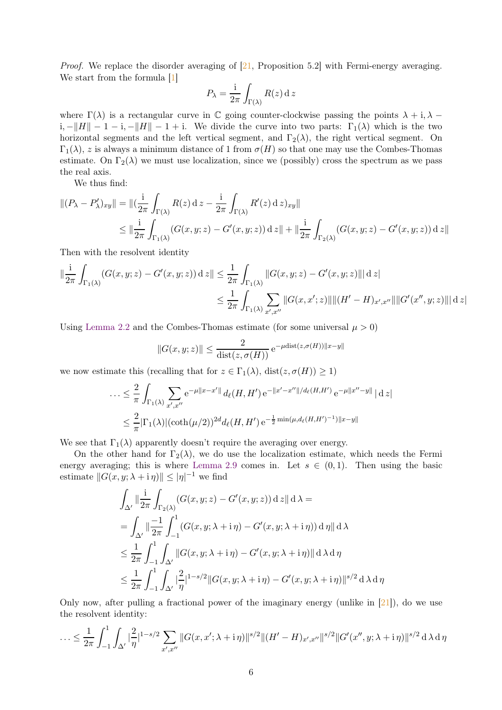*Proof.* We replace the disorder averaging of [\[21](#page-13-5), Proposition 5.2] with Fermi-energy averaging. We start from the formula [\[1](#page-12-8)]

$$
P_{\lambda} = \frac{\mathrm{i}}{2\pi} \int_{\Gamma(\lambda)} R(z) \,\mathrm{d}z
$$

where  $\Gamma(\lambda)$  is a rectangular curve in C going counter-clockwise passing the points  $\lambda + i, \lambda$  – i,  $-||H|| - 1 - i$ ,  $-||H|| - 1 + i$ . We divide the curve into two parts:  $\Gamma_1(\lambda)$  which is the two horizontal segments and the left vertical segment, and  $\Gamma_2(\lambda)$ , the right vertical segment. On  $\Gamma_1(\lambda)$ , z is always a minimum distance of 1 from  $\sigma(H)$  so that one may use the Combes-Thomas estimate. On  $\Gamma_2(\lambda)$  we must use localization, since we (possibly) cross the spectrum as we pass the real axis.

We thus find:

$$
\begin{aligned} || (P_{\lambda} - P_{\lambda}')_{xy} || &= || (\frac{i}{2\pi} \int_{\Gamma(\lambda)} R(z) \, dz - \frac{i}{2\pi} \int_{\Gamma(\lambda)} R'(z) \, dz)_{xy} || \\ &\leq || \frac{i}{2\pi} \int_{\Gamma_1(\lambda)} (G(x, y; z) - G'(x, y; z)) \, dz || + || \frac{i}{2\pi} \int_{\Gamma_2(\lambda)} (G(x, y; z) - G'(x, y; z)) \, dz || \end{aligned}
$$

Then with the resolvent identity

$$
\|\frac{1}{2\pi}\int_{\Gamma_1(\lambda)} (G(x,y;z) - G'(x,y;z)) \,dz\| \le \frac{1}{2\pi}\int_{\Gamma_1(\lambda)} \|G(x,y;z) - G'(x,y;z)\| \,dz\|
$$
  

$$
\le \frac{1}{2\pi}\int_{\Gamma_1(\lambda)} \sum_{x',x''} \|G(x,x';z)\| \| (H'-H)_{x',x''}\| \|G'(x'',y;z)\| \,dz\|
$$

Using [Lemma 2.2](#page-1-1) and the Combes-Thomas estimate (for some universal  $\mu > 0$ )

$$
||G(x, y; z)|| \le \frac{2}{\text{dist}(z, \sigma(H))} e^{-\mu \text{dist}(z, \sigma(H)) ||x - y||}
$$

we now estimate this (recalling that for  $z \in \Gamma_1(\lambda)$ ,  $dist(z, \sigma(H)) \geq 1$ )

$$
\cdots \leq \frac{2}{\pi} \int_{\Gamma_1(\lambda)} \sum_{x',x''} e^{-\mu ||x-x'||} d_{\ell}(H,H') e^{-||x'-x''||/d_{\ell}(H,H')} e^{-\mu ||x''-y||} |dz|
$$
  

$$
\leq \frac{2}{\pi} |\Gamma_1(\lambda)| (\coth(\mu/2))^{2d} d_{\ell}(H,H') e^{-\frac{1}{2} \min(\mu,d_{\ell}(H,H')-1) ||x-y||}
$$

We see that  $\Gamma_1(\lambda)$  apparently doesn't require the averaging over energy.

On the other hand for  $\Gamma_2(\lambda)$ , we do use the localization estimate, which needs the Fermi energy averaging; this is where [Lemma 2.9](#page-3-1) comes in. Let  $s \in (0,1)$ . Then using the basic estimate  $||G(x, y; \lambda + i \eta)|| \leq |\eta|^{-1}$  we find

$$
\int_{\Delta'} \|\frac{\mathrm{i}}{2\pi} \int_{\Gamma_2(\lambda)} (G(x, y; z) - G'(x, y; z)) \, \mathrm{d} \, z \|\, \mathrm{d} \, \lambda =
$$
\n
$$
= \int_{\Delta'} \|\frac{-1}{2\pi} \int_{-1}^1 (G(x, y; \lambda + \mathrm{i}\,\eta) - G'(x, y; \lambda + \mathrm{i}\,\eta)) \, \mathrm{d}\,\eta \|\, \mathrm{d} \, \lambda
$$
\n
$$
\leq \frac{1}{2\pi} \int_{-1}^1 \int_{\Delta'} \|G(x, y; \lambda + \mathrm{i}\,\eta) - G'(x, y; \lambda + \mathrm{i}\,\eta) \|\, \mathrm{d} \, \lambda \, \mathrm{d}\,\eta
$$
\n
$$
\leq \frac{1}{2\pi} \int_{-1}^1 \int_{\Delta'} \|\frac{2}{\eta}\|^{1 - s/2} \|G(x, y; \lambda + \mathrm{i}\,\eta) - G'(x, y; \lambda + \mathrm{i}\,\eta)\|^{s/2} \, \mathrm{d} \, \lambda \, \mathrm{d}\,\eta
$$

Only now, after pulling a fractional power of the imaginary energy (unlike in  $[21]$ ), do we use the resolvent identity:

$$
\ldots \leq \frac{1}{2\pi} \int_{-1}^{1} \int_{\Delta'} \left| \frac{2}{\eta} \right|^{1-s/2} \sum_{x',x''} \|G(x,x';\lambda+i\eta)\|^{s/2} \|(H'-H)_{x',x''}\|^{s/2} \|G'(x'',y;\lambda+i\eta)\|^{s/2} d\lambda d\eta
$$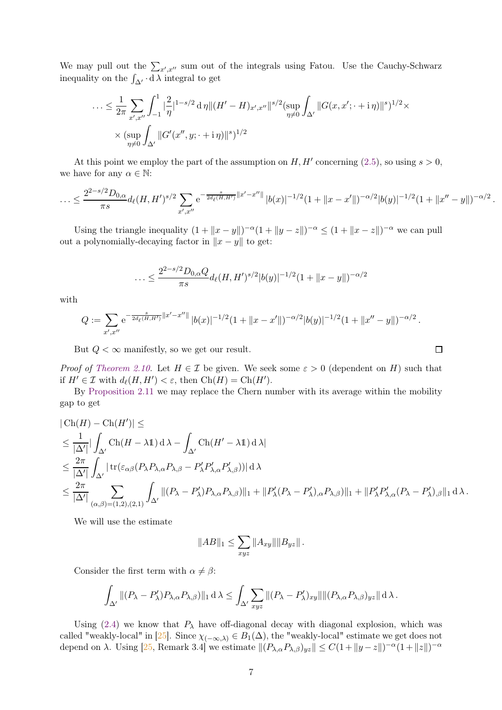We may pull out the  $\sum_{x',x''}$  sum out of the integrals using Fatou. Use the Cauchy-Schwarz inequality on the  $\int_{\Delta'} \cdot d\lambda$  integral to get

$$
\ldots \leq \frac{1}{2\pi} \sum_{x',x''} \int_{-1}^{1} |\frac{2}{\eta}|^{1-s/2} d\eta \| (H' - H)_{x',x''} \|^{s/2} (\sup_{\eta \neq 0} \int_{\Delta'} \| G(x, x'; \cdot + i\eta) \|^{s})^{1/2} \times
$$
  
 
$$
\times (\sup_{\eta \neq 0} \int_{\Delta'} \| G'(x'', y; \cdot + i\eta) \|^{s})^{1/2}
$$

At this point we employ the part of the assumption on  $H, H'$  concerning [\(2.5\)](#page-3-2), so using  $s > 0$ , we have for any  $\alpha \in \mathbb{N}$ :

$$
\ldots \leq \frac{2^{2-s/2}D_{0,\alpha}}{\pi s} d_{\ell}(H,H')^{s/2} \sum_{x',x''} e^{-\frac{s}{2d_{\ell}(H,H')}||x'-x''||} |b(x)|^{-1/2} (1+||x-x'||)^{-\alpha/2}|b(y)|^{-1/2} (1+||x''-y||)^{-\alpha/2}.
$$

Using the triangle inequality  $(1 + ||x - y||)^{-\alpha}(1 + ||y - z||)^{-\alpha} \leq (1 + ||x - z||)^{-\alpha}$  we can pull out a polynomially-decaying factor in  $||x - y||$  to get:

$$
\ldots \leq \frac{2^{2-s/2}D_{0,\alpha}Q}{\pi s} d_{\ell}(H, H')^{s/2}|b(y)|^{-1/2}(1 + \|x - y\|)^{-\alpha/2}
$$

with

$$
Q := \sum_{x',x''} e^{-\frac{s}{2d_{\ell}(H,H')}||x'-x''||} |b(x)|^{-1/2} (1+||x-x'||)^{-\alpha/2} |b(y)|^{-1/2} (1+||x''-y||)^{-\alpha/2}.
$$

But  $Q < \infty$  manifestly, so we get our result.

 $\Box$ 

*Proof of [Theorem 2.10.](#page-4-1)* Let  $H \in \mathcal{I}$  be given. We seek some  $\varepsilon > 0$  (dependent on H) such that if  $H' \in \mathcal{I}$  with  $d_{\ell}(H, H') < \varepsilon$ , then  $\text{Ch}(H) = \text{Ch}(H')$ .

By [Proposition 2.11](#page-4-2) we may replace the Chern number with its average within the mobility gap to get

$$
\label{eq:20} \begin{split} &|\operatorname{Ch}(H)-\operatorname{Ch}(H')|\leq\\ &\leq \frac{1}{|\Delta'|}\big|\int_{\Delta'}\operatorname{Ch}(H-\lambda\mathbbm{1})\operatorname{d}\lambda-\int_{\Delta'}\operatorname{Ch}(H'-\lambda\mathbbm{1})\operatorname{d}\lambda\big|\\ &\leq \frac{2\pi}{|\Delta'|}\int_{\Delta'}|\operatorname{tr}(\varepsilon_{\alpha\beta}(P_\lambda P_{\lambda,\alpha}P_{\lambda,\beta}-P'_\lambda P'_{\lambda,\alpha}P'_{\lambda,\beta}))|\operatorname{d}\lambda\\ &\leq \frac{2\pi}{|\Delta'|}\sum_{(\alpha,\beta)=(1,2),(2,1)}\int_{\Delta'}\|(P_\lambda-P'_\lambda)P_{\lambda,\alpha}P_{\lambda,\beta})\|_1+\|P'_\lambda(P_\lambda-P'_{\lambda})_{,\alpha}P_{\lambda,\beta})\|_1+\|P'_\lambda P'_{\lambda,\alpha}(P_\lambda-P'_{\lambda})_{,\beta}\|_1\operatorname{d}\lambda\,. \end{split}
$$

We will use the estimate

$$
||AB||_1 \le \sum_{xyz} ||A_{xy}|| ||B_{yz}||.
$$

Consider the first term with  $\alpha \neq \beta$ :

$$
\int_{\Delta'} \|(P_{\lambda} - P_{\lambda}')P_{\lambda,\alpha}P_{\lambda,\beta})\|_1 d\lambda \le \int_{\Delta'} \sum_{xyz} \|(P_{\lambda} - P_{\lambda}')_{xy}\| \|(P_{\lambda,\alpha}P_{\lambda,\beta})_{yz}\| d\lambda.
$$

Using [\(2.4\)](#page-3-0) we know that  $P_{\lambda}$  have off-diagonal decay with diagonal explosion, which was called "weakly-local" in [\[25\]](#page-13-4). Since  $\chi_{(-\infty,\lambda)} \in B_1(\Delta)$ , the "weakly-local" estimate we get does not depend on  $\lambda$ . Using  $[25, \text{ Remark 3.4}]$  we estimate  $||(P_{\lambda,\alpha}P_{\lambda,\beta})_{yz}|| \leq C(1+||y-z||)^{-\alpha}(1+||z||)^{-\alpha}$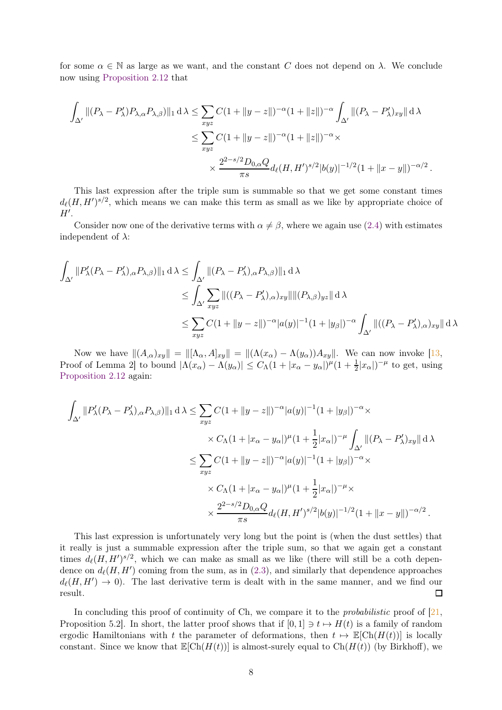for some  $\alpha \in \mathbb{N}$  as large as we want, and the constant C does not depend on  $\lambda$ . We conclude now using [Proposition 2.12](#page-4-3) that

$$
\int_{\Delta'} \|(P_{\lambda} - P_{\lambda}')P_{\lambda,\alpha}P_{\lambda,\beta})\|_1 d\lambda \leq \sum_{xyz} C(1 + \|y - z\|)^{-\alpha} (1 + \|z\|)^{-\alpha} \int_{\Delta'} \|(P_{\lambda} - P_{\lambda}')_{xy}\| d\lambda
$$
  

$$
\leq \sum_{xyz} C(1 + \|y - z\|)^{-\alpha} (1 + \|z\|)^{-\alpha} \times
$$
  

$$
\times \frac{2^{2-s/2} D_{0,\alpha} Q}{\pi s} d_{\ell}(H, H')^{s/2} |b(y)|^{-1/2} (1 + \|x - y\|)^{-\alpha/2}.
$$

This last expression after the triple sum is summable so that we get some constant times  $d_{\ell}(H, H')^{s/2}$ , which means we can make this term as small as we like by appropriate choice of  $H'.$ 

Consider now one of the derivative terms with  $\alpha \neq \beta$ , where we again use [\(2.4\)](#page-3-0) with estimates independent of  $\lambda$ :

$$
\int_{\Delta'} ||P'_{\lambda}(P_{\lambda} - P'_{\lambda})_{,\alpha} P_{\lambda,\beta})||_1 d\lambda \le \int_{\Delta'} ||(P_{\lambda} - P'_{\lambda})_{,\alpha} P_{\lambda,\beta})||_1 d\lambda
$$
  
\n
$$
\le \int_{\Delta'} \sum_{xyz} ||((P_{\lambda} - P'_{\lambda})_{,\alpha})_{xy}|| ||(P_{\lambda,\beta})_{yz}|| d\lambda
$$
  
\n
$$
\le \sum_{xyz} C(1 + ||y - z||)^{-\alpha} |a(y)|^{-1} (1 + |y_{\beta}|)^{-\alpha} \int_{\Delta'} ||((P_{\lambda} - P'_{\lambda})_{,\alpha})_{xy}|| d\lambda
$$

Now we have  $\|(A_{,\alpha})_{xy}\| = \|[\Lambda_{\alpha}, A]_{xy}\| = \|(\Lambda(x_{\alpha}) - \Lambda(y_{\alpha}))A_{xy}\|$ . We can now invoke [\[13](#page-12-4), Proof of Lemma 2 to bound  $|\Lambda(x_{\alpha}) - \Lambda(y_{\alpha})| \leq C_{\Lambda} (1 + |x_{\alpha} - y_{\alpha}|)^{\mu} (1 + \frac{1}{2}|x_{\alpha}|)^{-\mu}$  to get, using [Proposition 2.12](#page-4-3) again:

$$
\int_{\Delta'} ||P'_{\lambda}(P_{\lambda} - P'_{\lambda})_{,\alpha} P_{\lambda,\beta})||_1 d\lambda \le \sum_{xyz} C(1 + ||y - z||)^{-\alpha} |a(y)|^{-1} (1 + |y_{\beta}|)^{-\alpha} \times
$$
  

$$
\times C_{\Lambda} (1 + |x_{\alpha} - y_{\alpha}|)^{\mu} (1 + \frac{1}{2}|x_{\alpha}|)^{-\mu} \int_{\Delta'} ||(P_{\lambda} - P'_{\lambda})_{xy}|| d\lambda
$$
  

$$
\le \sum_{xyz} C(1 + ||y - z||)^{-\alpha} |a(y)|^{-1} (1 + |y_{\beta}|)^{-\alpha} \times
$$
  

$$
\times C_{\Lambda} (1 + |x_{\alpha} - y_{\alpha}|)^{\mu} (1 + \frac{1}{2}|x_{\alpha}|)^{-\mu} \times
$$
  

$$
\times \frac{2^{2-s/2} D_{0,\alpha} Q}{\pi s} d_{\ell}(H, H')^{s/2} |b(y)|^{-1/2} (1 + ||x - y||)^{-\alpha/2}.
$$

This last expression is unfortunately very long but the point is (when the dust settles) that it really is just a summable expression after the triple sum, so that we again get a constant times  $d_{\ell}(H, H')^{s/2}$ , which we can make as small as we like (there will still be a coth dependence on  $d_{\ell}(H, H')$  coming from the sum, as in [\(2.3\)](#page-2-2), and similarly that dependence approaches  $d_{\ell}(H, H') \rightarrow 0$ ). The last derivative term is dealt with in the same manner, and we find our result.  $\Box$ 

In concluding this proof of continuity of Ch, we compare it to the *probabilistic* proof of [\[21](#page-13-5), Proposition 5.2]. In short, the latter proof shows that if  $[0, 1] \ni t \mapsto H(t)$  is a family of random ergodic Hamiltonians with t the parameter of deformations, then  $t \mapsto \mathbb{E}[\text{Ch}(H(t))]$  is locally constant. Since we know that  $\mathbb{E}[\text{Ch}(H(t))]$  is almost-surely equal to  $\text{Ch}(H(t))$  (by Birkhoff), we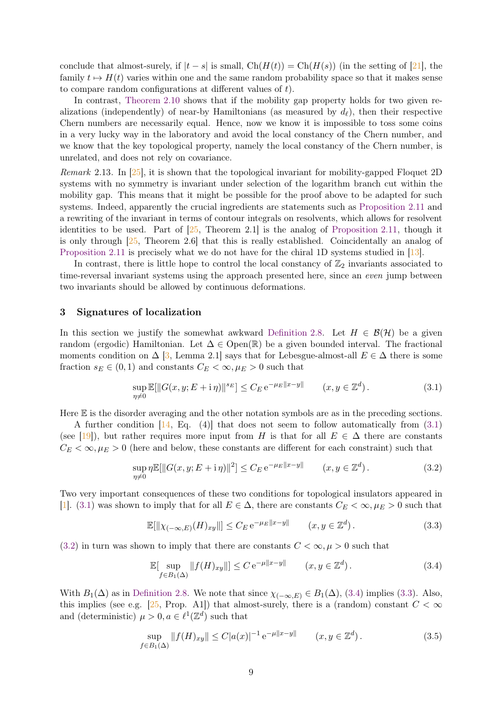conclude that almost-surely, if  $|t - s|$  is small,  $Ch(H(t)) = Ch(H(s))$  (in the setting of [\[21\]](#page-13-5), the family  $t \mapsto H(t)$  varies within one and the same random probability space so that it makes sense to compare random configurations at different values of t).

In contrast, [Theorem 2.10](#page-4-1) shows that if the mobility gap property holds for two given realizations (independently) of near-by Hamiltonians (as measured by  $d_{\ell}$ ), then their respective Chern numbers are necessarily equal. Hence, now we know it is impossible to toss some coins in a very lucky way in the laboratory and avoid the local constancy of the Chern number, and we know that the key topological property, namely the local constancy of the Chern number, is unrelated, and does not rely on covariance.

*Remark* 2.13*.* In [\[25](#page-13-4)], it is shown that the topological invariant for mobility-gapped Floquet 2D systems with no symmetry is invariant under selection of the logarithm branch cut within the mobility gap. This means that it might be possible for the proof above to be adapted for such systems. Indeed, apparently the crucial ingredients are statements such as [Proposition 2.11](#page-4-2) and a rewriting of the invariant in terms of contour integrals on resolvents, which allows for resolvent identities to be used. Part of  $[25,$  Theorem 2.1 is the analog of [Proposition 2.11,](#page-4-2) though it is only through [\[25](#page-13-4), Theorem 2.6] that this is really established. Coincidentally an analog of [Proposition 2.11](#page-4-2) is precisely what we do not have for the chiral 1D systems studied in [\[13](#page-12-4)].

In contrast, there is little hope to control the local constancy of  $\mathbb{Z}_2$  invariants associated to time-reversal invariant systems using the approach presented here, since an *even* jump between two invariants should be allowed by continuous deformations.

### <span id="page-8-0"></span>3 Signatures of localization

In this section we justify the somewhat awkward [Definition 2.8.](#page-2-0) Let  $H \in \mathcal{B}(\mathcal{H})$  be a given random (ergodic) Hamiltonian. Let  $\Delta \in \text{Open}(\mathbb{R})$  be a given bounded interval. The fractional moments condition on  $\Delta$  [\[3](#page-12-12), Lemma 2.1] says that for Lebesgue-almost-all  $E \in \Delta$  there is some fraction  $s_E \in (0,1)$  and constants  $C_E < \infty, \mu_E > 0$  such that

<span id="page-8-1"></span>
$$
\sup_{\eta \neq 0} \mathbb{E}[\|G(x, y; E + i\eta)\|^{s_E}] \le C_E e^{-\mu_E \|x - y\|} \qquad (x, y \in \mathbb{Z}^d). \tag{3.1}
$$

Here  $E$  is the disorder averaging and the other notation symbols are as in the preceding sections.

A further condition  $[14, Eq. (4)]$  that does not seem to follow automatically from  $(3.1)$ (see [\[19\]](#page-13-6)), but rather requires more input from H is that for all  $E \in \Delta$  there are constants  $C_E < \infty, \mu_E > 0$  (here and below, these constants are different for each constraint) such that

$$
\sup_{\eta \neq 0} \eta \mathbb{E}[\|G(x, y; E + i\eta)\|^2] \leq C_E e^{-\mu_E \|x - y\|} \qquad (x, y \in \mathbb{Z}^d). \tag{3.2}
$$

Two very important consequences of these two conditions for topological insulators appeared in [\[1](#page-12-8)]. [\(3.1\)](#page-8-1) was shown to imply that for all  $E \in \Delta$ , there are constants  $C_E < \infty$ ,  $\mu_E > 0$  such that

<span id="page-8-4"></span><span id="page-8-2"></span>
$$
\mathbb{E}[\|\chi_{(-\infty,E)}(H)_{xy}\|] \le C_E e^{-\mu_E \|x - y\|} \qquad (x, y \in \mathbb{Z}^d). \tag{3.3}
$$

[\(3.2\)](#page-8-2) in turn was shown to imply that there are constants  $C < \infty, \mu > 0$  such that

<span id="page-8-5"></span><span id="page-8-3"></span>
$$
\mathbb{E}[\sup_{f \in B_1(\Delta)} \|f(H)_{xy}\|] \le C e^{-\mu \|x - y\|} \qquad (x, y \in \mathbb{Z}^d). \tag{3.4}
$$

With  $B_1(\Delta)$  as in [Definition 2.8.](#page-2-0) We note that since  $\chi_{(-\infty,E)} \in B_1(\Delta)$ , [\(3.4\)](#page-8-3) implies [\(3.3\)](#page-8-4). Also, this implies (see e.g. [\[25,](#page-13-4) Prop. A1]) that almost-surely, there is a (random) constant  $C < \infty$ and (deterministic)  $\mu > 0, a \in \ell^1(\mathbb{Z}^d)$  such that

$$
\sup_{f \in B_1(\Delta)} ||f(H)_{xy}|| \le C |a(x)|^{-1} e^{-\mu ||x-y||} \qquad (x, y \in \mathbb{Z}^d). \tag{3.5}
$$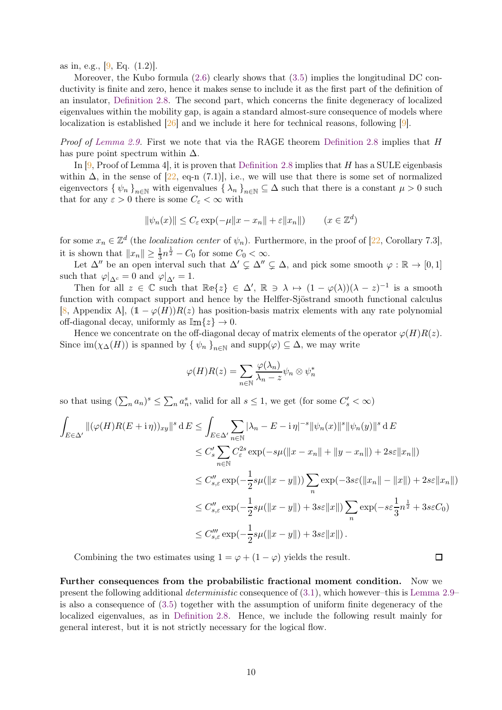as in, e.g., [\[9](#page-12-3), Eq. (1.2)].

Moreover, the Kubo formula  $(2.6)$  clearly shows that  $(3.5)$  implies the longitudinal DC conductivity is finite and zero, hence it makes sense to include it as the first part of the definition of an insulator, [Definition 2.8.](#page-2-0) The second part, which concerns the finite degeneracy of localized eigenvalues within the mobility gap, is again a standard almost-sure consequence of models where localization is established [\[26\]](#page-13-7) and we include it here for technical reasons, following [\[9\]](#page-12-3).

*Proof of [Lemma 2.9.](#page-3-1)* First we note that via the RAGE theorem [Definition 2.8](#page-2-0) implies that H has pure point spectrum within  $\Delta$ .

In  $[9, \text{Proof of Lemma 4}]$ , it is proven that [Definition 2.8](#page-2-0) implies that H has a SULE eigenbasis within  $\Delta$ , in the sense of [\[22,](#page-13-8) eq-n (7.1)], i.e., we will use that there is some set of normalized eigenvectors  $\{\psi_n\}_{n\in\mathbb{N}}$  with eigenvalues  $\{\lambda_n\}_{n\in\mathbb{N}}\subseteq\Delta$  such that there is a constant  $\mu>0$  such that for any  $\varepsilon > 0$  there is some  $C_{\varepsilon} < \infty$  with

$$
\|\psi_n(x)\| \le C_{\varepsilon} \exp(-\mu \|x - x_n\| + \varepsilon \|x_n\|) \qquad (x \in \mathbb{Z}^d)
$$

for some  $x_n \in \mathbb{Z}^d$  (the *localization center* of  $\psi_n$ ). Furthermore, in the proof of [\[22,](#page-13-8) Corollary 7.3], it is shown that  $||x_n|| \ge \frac{1}{3}n^{\frac{1}{2}} - C_0$  for some  $C_0 < \infty$ .

Let  $\Delta''$  be an open interval such that  $\Delta' \subsetneq \Delta'' \subsetneq \Delta$ , and pick some smooth  $\varphi : \mathbb{R} \to [0,1]$ such that  $\varphi|_{\Lambda_c} = 0$  and  $\varphi|_{\Delta'} = 1$ .

Then for all  $z \in \mathbb{C}$  such that  $\mathbb{Re}\{z\} \in \Delta'$ ,  $\mathbb{R} \ni \lambda \mapsto (1 - \varphi(\lambda))(\lambda - z)^{-1}$  is a smooth function with compact support and hence by the Helffer-Sjöstrand smooth functional calculus [\[8](#page-12-11), Appendix A],  $(1 - \varphi(H))R(z)$  has position-basis matrix elements with any rate polynomial off-diagonal decay, uniformly as  $\mathbb{I}\text{m}{z} \to 0$ .

Hence we concentrate on the off-diagonal decay of matrix elements of the operator  $\varphi(H)R(z)$ . Since  $\text{im}(\chi_{\Delta}(H))$  is spanned by  $\{\psi_n\}_{n\in\mathbb{N}}$  and  $\text{supp}(\varphi) \subseteq \Delta$ , we may write

$$
\varphi(H)R(z) = \sum_{n \in \mathbb{N}} \frac{\varphi(\lambda_n)}{\lambda_n - z} \psi_n \otimes \psi_n^*
$$

so that using  $(\sum_n a_n)^s \leq \sum_n a_n^s$ , valid for all  $s \leq 1$ , we get (for some  $C_s' < \infty$ )

$$
\int_{E \in \Delta'} ||(\varphi(H)R(E+i\eta))_{xy}||^s dE \le \int_{E \in \Delta'} \sum_{n \in \mathbb{N}} |\lambda_n - E - i\eta|^{-s} ||\psi_n(x)||^s ||\psi_n(y)||^s dE
$$
\n
$$
\le C'_s \sum_{n \in \mathbb{N}} C_{\varepsilon}^{2s} \exp(-s\mu(||x - x_n|| + ||y - x_n||) + 2s\varepsilon ||x_n||)
$$
\n
$$
\le C''_{s,\varepsilon} \exp(-\frac{1}{2}s\mu(||x - y||)) \sum_{n} \exp(-3s\varepsilon(||x_n|| - ||x||) + 2s\varepsilon ||x_n||)
$$
\n
$$
\le C''_{s,\varepsilon} \exp(-\frac{1}{2}s\mu(||x - y||) + 3s\varepsilon ||x||) \sum_{n} \exp(-s\varepsilon \frac{1}{3}n^{\frac{1}{2}} + 3s\varepsilon C_0)
$$
\n
$$
\le C'''_{s,\varepsilon} \exp(-\frac{1}{2}s\mu(||x - y||) + 3s\varepsilon ||x||).
$$

Combining the two estimates using  $1 = \varphi + (1 - \varphi)$  yields the result.

Further consequences from the probabilistic fractional moment condition. Now we present the following additional *deterministic* consequence of [\(3.1\)](#page-8-1), which however–this is [Lemma 2.9–](#page-3-1) is also a consequence of [\(3.5\)](#page-8-5) together with the assumption of uniform finite degeneracy of the localized eigenvalues, as in [Definition 2.8.](#page-2-0) Hence, we include the following result mainly for general interest, but it is not strictly necessary for the logical flow.

 $\Box$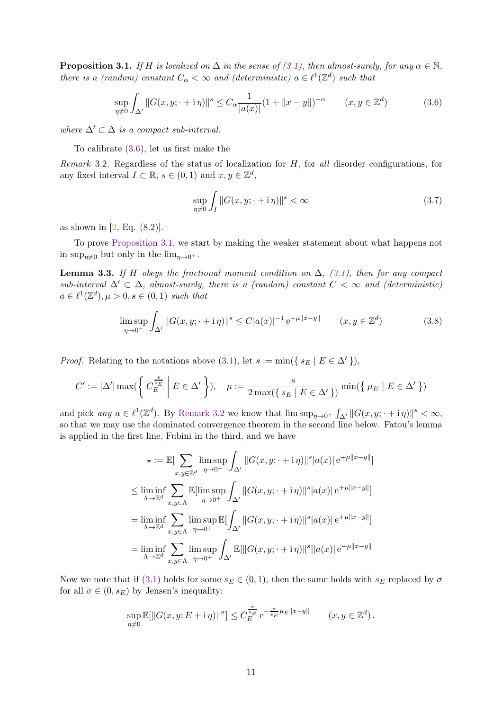**Proposition 3.1.** *If* H *is localized on*  $\Delta$  *in the sense of* [\(3.1\)](#page-8-1)*, then almost-surely, for any*  $\alpha \in \mathbb{N}$ *, there is a (random) constant*  $C_{\alpha} < \infty$  *and (deterministic)*  $a \in \ell^1(\mathbb{Z}^d)$  *such that* 

$$
\sup_{\eta \neq 0} \int_{\Delta'} \|G(x, y; \cdot + \mathrm{i} \,\eta)\|^s \leq C_{\alpha} \frac{1}{|a(x)|} (1 + \|x - y\|)^{-\alpha} \qquad (x, y \in \mathbb{Z}^d) \tag{3.6}
$$

*where*  $\Delta' \subset \Delta$  *is a compact sub-interval.* 

To calibrate [\(3.6\)](#page-10-0), let us first make the

*Remark* 3.2*.* Regardless of the status of localization for H, for *all* disorder configurations, for any fixed interval  $I \subset \mathbb{R}$ ,  $s \in (0,1)$  and  $x, y \in \mathbb{Z}^d$ ,

<span id="page-10-2"></span><span id="page-10-1"></span><span id="page-10-0"></span>
$$
\sup_{\eta \neq 0} \int_{I} \|G(x, y; \cdot + \mathrm{i} \,\eta)\|^{s} < \infty \tag{3.7}
$$

as shown in [\[2](#page-12-14), Eq.  $(8.2)$ ].

To prove [Proposition 3.1,](#page-10-0) we start by making the weaker statement about what happens not in  $\sup_{\eta\neq 0}$  but only in the  $\lim_{\eta\to 0^+}$ .

**Lemma 3.3.** *If* H obeys the fractional moment condition on  $\Delta$ *, [\(3.1\)](#page-8-1), then for any compact*  $sub-interval \Delta' \subset \Delta$ , almost-surely, there is a (random) constant  $C < \infty$  and (deterministic)  $a \in \ell^1(\mathbb{Z}^d), \mu > 0, s \in (0,1)$  *such that* 

$$
\limsup_{\eta \to 0^+} \int_{\Delta'} ||G(x, y; \cdot + i\eta)||^s \le C|a(x)|^{-1} e^{-\mu ||x - y||} \qquad (x, y \in \mathbb{Z}^d)
$$
 (3.8)

*Proof.* Relating to the notations above [\(3.1\)](#page-8-1), let  $s := min({s_E | E \in \Delta'}),$ 

$$
C' := |\Delta'| \max\left\{ \left\{ \left. C_E^{\frac{s}{s_E}} \; \middle| \; E \in \Delta' \right\} \right\}, \quad \mu := \frac{s}{2 \max\left\{ \left\{ \left. s_E \; \middle| \; E \in \Delta' \right\} \right\}} \min\left( \left\{ \left. \left. \mu_E \; \middle| \; E \in \Delta' \right\} \right\} \right)
$$

and pick *any*  $a \in \ell^1(\mathbb{Z}^d)$ . By [Remark 3.2](#page-10-1) we know that  $\limsup_{\eta \to 0^+} \int_{\Delta'} ||G(x, y; \cdot + i\eta)||^s < \infty$ , so that we may use the dominated convergence theorem in the second line below. Fatou's lemma is applied in the first line, Fubini in the third, and we have

$$
\star := \mathbb{E}[\sum_{x,y \in \mathbb{Z}^d} \limsup_{\eta \to 0^+} \int_{\Delta'} ||G(x,y; \cdot + i\eta)||^s |a(x)| e^{+\mu ||x-y||}]
$$
  
\n
$$
\leq \liminf_{\Lambda \to \mathbb{Z}^d} \sum_{x,y \in \Lambda} \mathbb{E}[\limsup_{\eta \to 0^+} \int_{\Delta'} ||G(x,y; \cdot + i\eta)||^s |a(x)| e^{+\mu ||x-y||}]
$$
  
\n
$$
= \liminf_{\Lambda \to \mathbb{Z}^d} \sum_{x,y \in \Lambda} \limsup_{\eta \to 0^+} \mathbb{E}[\int_{\Delta'} ||G(x,y; \cdot + i\eta)||^s |a(x)| e^{+\mu ||x-y||}]
$$
  
\n
$$
= \liminf_{\Lambda \to \mathbb{Z}^d} \sum_{x,y \in \Lambda} \limsup_{\eta \to 0^+} \int_{\Delta'} \mathbb{E}[||G(x,y; \cdot + i\eta)||^s ||a(x)| e^{+\mu ||x-y||}]
$$

Now we note that if [\(3.1\)](#page-8-1) holds for some  $s_E \in (0,1)$ , then the same holds with  $s_E$  replaced by  $\sigma$ for all  $\sigma \in (0, s_E)$  by Jensen's inequality:

$$
\sup_{\eta \neq 0} \mathbb{E}[\|G(x, y; E + i\eta)\|^{\sigma}] \leq C_E^{\frac{\sigma}{s_E}} e^{-\frac{\sigma}{s_E} \mu_E \|x - y\|} \qquad (x, y \in \mathbb{Z}^d).
$$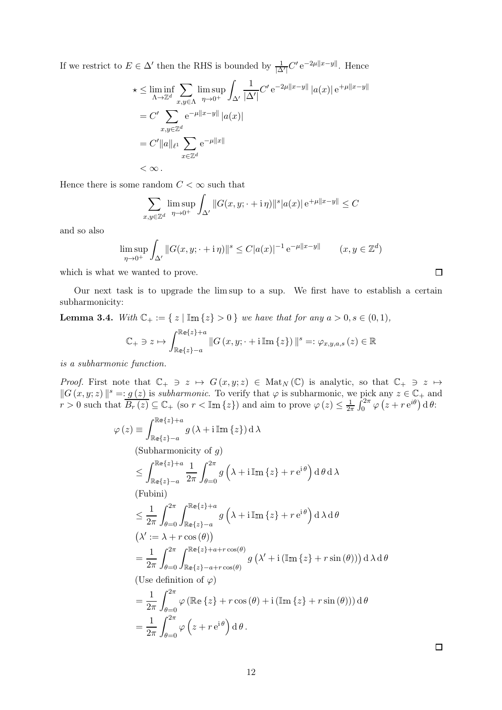If we restrict to  $E \in \Delta'$  then the RHS is bounded by  $\frac{1}{|\Delta'|}C' e^{-2\mu ||x-y||}$ . Hence

$$
\star \leq \liminf_{\Lambda \to \mathbb{Z}^d} \sum_{x, y \in \Lambda} \limsup_{\eta \to 0^+} \int_{\Delta'} \frac{1}{|\Delta'|} C' e^{-2\mu ||x - y||} |a(x)| e^{+\mu ||x - y||}
$$
  
= 
$$
C' \sum_{x, y \in \mathbb{Z}^d} e^{-\mu ||x - y||} |a(x)|
$$
  
= 
$$
C' ||a||_{\ell^1} \sum_{x \in \mathbb{Z}^d} e^{-\mu ||x||}
$$
< \infty.

Hence there is some random  $C < \infty$  such that

$$
\sum_{x,y \in \mathbb{Z}^d} \limsup_{\eta \to 0^+} \int_{\Delta'} ||G(x,y; \cdot + i\eta)||^s |a(x)| e^{+\mu ||x-y||} \le C
$$

and so also

$$
\limsup_{\eta \to 0^+} \int_{\Delta'} ||G(x, y; \cdot + i\eta)||^s \le C|a(x)|^{-1} e^{-\mu ||x - y||} \qquad (x, y \in \mathbb{Z}^d)
$$

which is what we wanted to prove.

Our next task is to upgrade the lim sup to a sup. We first have to establish a certain subharmonicity:

**Lemma 3.4.** *With*  $\mathbb{C}_+ := \{ z \mid \mathbb{I} \in \mathbb{R} \}$  *we have that for any*  $a > 0, s \in (0, 1)$ *,* 

$$
\mathbb{C}_{+} \ni z \mapsto \int_{\mathbb{Re}\{z\}-a}^{\mathbb{Re}\{z\}+a} \|G(x,y;\cdot+i\mathbb{Im}\{z\})\|^{s} =: \varphi_{x,y,a,s}(z) \in \mathbb{R}
$$

*is a subharmonic function.*

*Proof.* First note that  $\mathbb{C}_+ \ni z \mapsto G(x, y; z) \in \text{Mat}_N(\mathbb{C})$  is analytic, so that  $\mathbb{C}_+ \ni z \mapsto$  $||G(x, y; z)||^s =: g(z)$  is *subharmonic*. To verify that  $\varphi$  is subharmonic, we pick any  $z \in \mathbb{C}_+$  and  $r > 0$  such that  $\overline{B_r(z)} \subseteq \mathbb{C}_+$  (so  $r < \mathbb{I}$ m $\{z\}$ ) and aim to prove  $\varphi(z) \leq \frac{1}{2i}$  $\frac{1}{2\pi}\int_0^{2\pi}\varphi\left(z+r\,\mathrm{e}^{i\theta}\right)\mathrm{d}\,\theta.$ 

$$
\varphi(z) \equiv \int_{\mathbb{R}e\{z\}+a}^{\mathbb{R}e\{z\}+a} g(\lambda + i \mathbb{I}m \{z\}) d\lambda
$$
\n(Subharmonicity of g)  
\n
$$
\leq \int_{\mathbb{R}e\{z\}+a}^{\mathbb{R}e\{z\}+a} \frac{1}{2\pi} \int_{\theta=0}^{2\pi} g(\lambda + i \mathbb{I}m \{z\} + r e^{i\theta}) d\theta d\lambda
$$
\n(Fubini)  
\n
$$
\leq \frac{1}{2\pi} \int_{\theta=0}^{2\pi} \int_{\mathbb{R}e\{z\}+a}^{\mathbb{R}e\{z\}+a} g(\lambda + i \mathbb{I}m \{z\} + r e^{i\theta}) d\lambda d\theta
$$
\n
$$
(\lambda' := \lambda + r \cos(\theta))
$$
\n
$$
= \frac{1}{2\pi} \int_{\theta=0}^{2\pi} \int_{\mathbb{R}e\{z\}+a+r \cos(\theta)}^{\mathbb{R}e\{z\}+a+r \cos(\theta)} g(\lambda' + i (\mathbb{I}m \{z\} + r \sin(\theta))) d\lambda d\theta
$$
\n(Use definition of  $\varphi$ )  
\n
$$
= \frac{1}{2\pi} \int_{\theta=0}^{2\pi} \varphi(\mathbb{R}e \{z\} + r \cos(\theta) + i (\mathbb{I}m \{z\} + r \sin(\theta))) d\theta
$$
\n
$$
= \frac{1}{2\pi} \int_{\theta=0}^{2\pi} \varphi(z + r e^{i\theta}) d\theta.
$$

 $\Box$ 

 $\Box$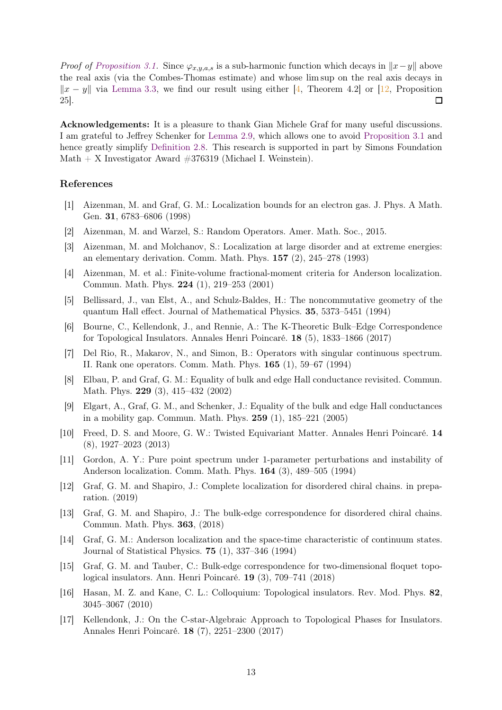*Proof of [Proposition 3.1.](#page-10-0)* Since  $\varphi_{x,y,a,s}$  is a sub-harmonic function which decays in  $||x-y||$  above the real axis (via the Combes-Thomas estimate) and whose lim sup on the real axis decays in  $||x - y||$  via [Lemma 3.3,](#page-10-2) we find our result using either [\[4,](#page-12-15) Theorem 4.2] or [\[12](#page-12-16), Proposition 25].  $\Box$ 

Acknowledgements: It is a pleasure to thank Gian Michele Graf for many useful discussions. I am grateful to Jeffrey Schenker for [Lemma 2.9,](#page-3-1) which allows one to avoid [Proposition 3.1](#page-10-0) and hence greatly simplify [Definition 2.8.](#page-2-0) This research is supported in part by Simons Foundation Math  $+ X$  Investigator Award  $#376319$  (Michael I. Weinstein).

# <span id="page-12-8"></span>References

- [1] Aizenman, M. and Graf, G. M.: Localization bounds for an electron gas. J. Phys. A Math. Gen. 31, 6783–6806 (1998)
- <span id="page-12-14"></span><span id="page-12-12"></span>[2] Aizenman, M. and Warzel, S.: Random Operators. Amer. Math. Soc., 2015.
- [3] Aizenman, M. and Molchanov, S.: Localization at large disorder and at extreme energies: an elementary derivation. Comm. Math. Phys. 157 (2), 245–278 (1993)
- <span id="page-12-15"></span>[4] Aizenman, M. et al.: Finite-volume fractional-moment criteria for Anderson localization. Commun. Math. Phys. 224 (1), 219–253 (2001)
- <span id="page-12-1"></span>[5] Bellissard, J., van Elst, A., and Schulz-Baldes, H.: The noncommutative geometry of the quantum Hall effect. Journal of Mathematical Physics. 35, 5373–5451 (1994)
- <span id="page-12-2"></span>[6] Bourne, C., Kellendonk, J., and Rennie, A.: The K-Theoretic Bulk–Edge Correspondence for Topological Insulators. Annales Henri Poincaré. 18 (5), 1833–1866 (2017)
- <span id="page-12-10"></span>[7] Del Rio, R., Makarov, N., and Simon, B.: Operators with singular continuous spectrum. II. Rank one operators. Comm. Math. Phys. 165 (1), 59–67 (1994)
- <span id="page-12-11"></span>[8] Elbau, P. and Graf, G. M.: Equality of bulk and edge Hall conductance revisited. Commun. Math. Phys. 229 (3), 415–432 (2002)
- <span id="page-12-3"></span>[9] Elgart, A., Graf, G. M., and Schenker, J.: Equality of the bulk and edge Hall conductances in a mobility gap. Commun. Math. Phys. 259 (1), 185–221 (2005)
- <span id="page-12-5"></span>[10] Freed, D. S. and Moore, G. W.: Twisted Equivariant Matter. Annales Henri Poincaré. 14 (8), 1927–2023 (2013)
- <span id="page-12-9"></span>[11] Gordon, A. Y.: Pure point spectrum under 1-parameter perturbations and instability of Anderson localization. Comm. Math. Phys. 164 (3), 489–505 (1994)
- <span id="page-12-16"></span>[12] Graf, G. M. and Shapiro, J.: Complete localization for disordered chiral chains. in preparation. (2019)
- <span id="page-12-4"></span>[13] Graf, G. M. and Shapiro, J.: The bulk-edge correspondence for disordered chiral chains. Commun. Math. Phys. 363, (2018)
- <span id="page-12-13"></span>[14] Graf, G. M.: Anderson localization and the space-time characteristic of continuum states. Journal of Statistical Physics. 75 (1), 337–346 (1994)
- <span id="page-12-7"></span>[15] Graf, G. M. and Tauber, C.: Bulk-edge correspondence for two-dimensional floquet topological insulators. Ann. Henri Poincaré. 19 (3), 709–741 (2018)
- <span id="page-12-0"></span>[16] Hasan, M. Z. and Kane, C. L.: Colloquium: Topological insulators. Rev. Mod. Phys. 82, 3045–3067 (2010)
- <span id="page-12-6"></span>[17] Kellendonk, J.: On the C-star-Algebraic Approach to Topological Phases for Insulators. Annales Henri Poincaré. 18 (7), 2251–2300 (2017)